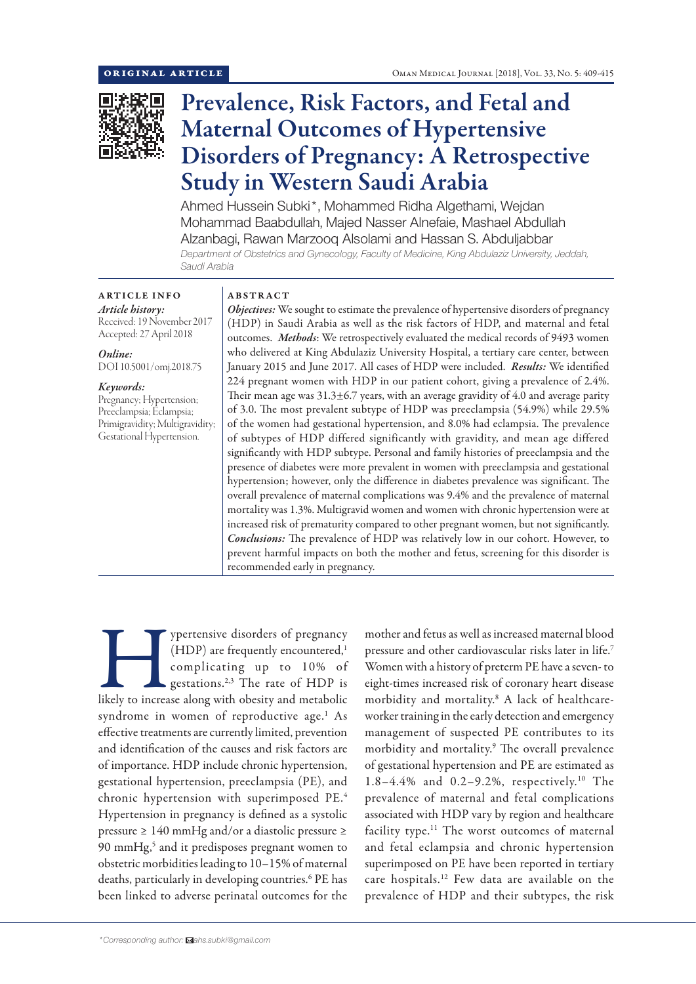

# Prevalence, Risk Factors, and Fetal and Maternal Outcomes of Hypertensive Disorders of Pregnancy: A Retrospective Study in Western Saudi Arabia

Ahmed Hussein Subki\*, Mohammed Ridha Algethami, Wejdan Mohammad Baabdullah, Majed Nasser Alnefaie, Mashael Abdullah Alzanbagi, Rawan Marzooq Alsolami and Hassan S. Abduljabbar *Department of Obstetrics and Gynecology, Faculty of Medicine, King Abdulaziz University, Jeddah, Saudi Arabia*

ARTICLE INFO *Article history:* Received: 19 November 2017 Accepted: 27 April 2018

*Online:* DOI 10.5001/omj.2018.75

*Keywords:*  Pregnancy; Hypertension; Preeclampsia; Eclampsia; Primigravidity; Multigravidity; Gestational Hypertension.

## ABSTRACT

*Objectives:* We sought to estimate the prevalence of hypertensive disorders of pregnancy (HDP) in Saudi Arabia as well as the risk factors of HDP, and maternal and fetal outcomes. *Methods*: We retrospectively evaluated the medical records of 9493 women who delivered at King Abdulaziz University Hospital, a tertiary care center, between January 2015 and June 2017. All cases of HDP were included. *Results:* We identified 224 pregnant women with HDP in our patient cohort, giving a prevalence of 2.4%. Their mean age was 31.3±6.7 years, with an average gravidity of 4.0 and average parity of 3.0. The most prevalent subtype of HDP was preeclampsia (54.9%) while 29.5% of the women had gestational hypertension, and 8.0% had eclampsia. The prevalence of subtypes of HDP differed significantly with gravidity, and mean age differed significantly with HDP subtype. Personal and family histories of preeclampsia and the presence of diabetes were more prevalent in women with preeclampsia and gestational hypertension; however, only the difference in diabetes prevalence was significant. The overall prevalence of maternal complications was 9.4% and the prevalence of maternal mortality was 1.3%. Multigravid women and women with chronic hypertension were at increased risk of prematurity compared to other pregnant women, but not significantly. *Conclusions:* The prevalence of HDP was relatively low in our cohort. However, to prevent harmful impacts on both the mother and fetus, screening for this disorder is recommended early in pregnancy.

Supertensive disorders of pregnancy (HDP) are frequently encountered,<sup>1</sup> complicating up to 10% of gestations.<sup>2,3</sup> The rate of HDP is likely to increase along with obesity and metabolic (HDP) are frequently encountered,<sup>1</sup> complicating up to 10% of gestations.<sup>2,3</sup> The rate of HDP is syndrome in women of reproductive age.<sup>1</sup> As effective treatments are currently limited, prevention and identification of the causes and risk factors are of importance. HDP include chronic hypertension, gestational hypertension, preeclampsia (PE), and chronic hypertension with superimposed PE.4 Hypertension in pregnancy is defined as a systolic pressure ≥ 140 mmHg and/or a diastolic pressure ≥ 90 mmHg,<sup>5</sup> and it predisposes pregnant women to obstetric morbidities leading to 10–15% of maternal deaths, particularly in developing countries.<sup>6</sup> PE has been linked to adverse perinatal outcomes for the

mother and fetus as well as increased maternal blood pressure and other cardiovascular risks later in life.7 Women with a history of preterm PE have a seven- to eight-times increased risk of coronary heart disease morbidity and mortality.8 A lack of healthcareworker training in the early detection and emergency management of suspected PE contributes to its morbidity and mortality.9 The overall prevalence of gestational hypertension and PE are estimated as 1.8–4.4% and 0.2–9.2%, respectively.10 The prevalence of maternal and fetal complications associated with HDP vary by region and healthcare facility type.<sup>11</sup> The worst outcomes of maternal and fetal eclampsia and chronic hypertension superimposed on PE have been reported in tertiary care hospitals.12 Few data are available on the prevalence of HDP and their subtypes, the risk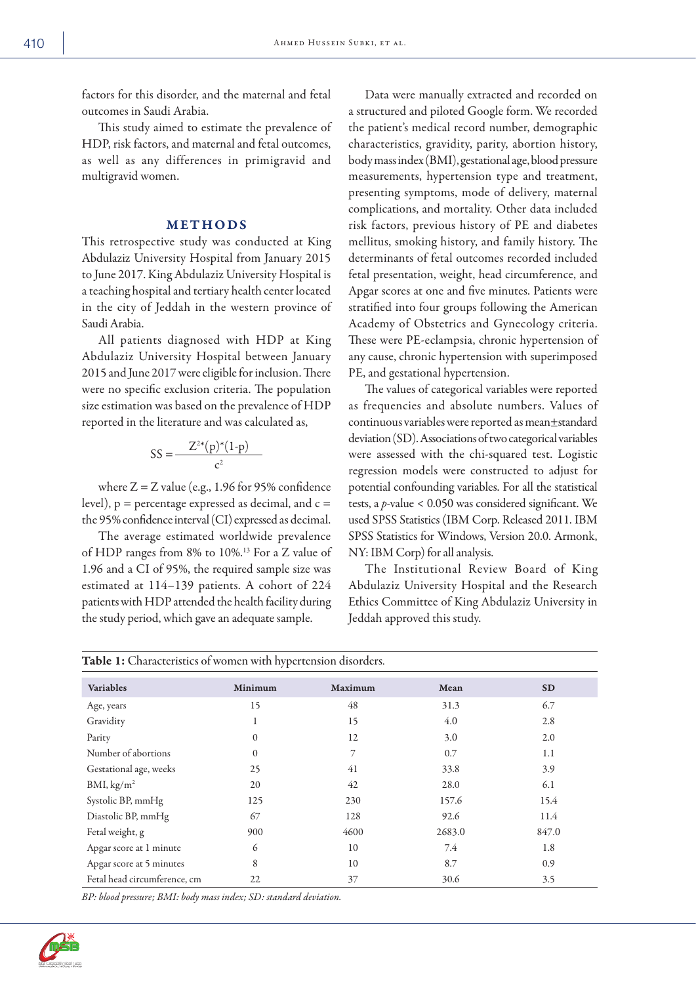factors for this disorder, and the maternal and fetal outcomes in Saudi Arabia.

This study aimed to estimate the prevalence of HDP, risk factors, and maternal and fetal outcomes, as well as any differences in primigravid and multigravid women.

#### METHODS

This retrospective study was conducted at King Abdulaziz University Hospital from January 2015 to June 2017. King Abdulaziz University Hospital is a teaching hospital and tertiary health center located in the city of Jeddah in the western province of Saudi Arabia.

All patients diagnosed with HDP at King Abdulaziz University Hospital between January 2015 and June 2017 were eligible for inclusion. There were no specific exclusion criteria. The population size estimation was based on the prevalence of HDP reported in the literature and was calculated as,

$$
SS = \frac{Z^{2*}(p)^*(1-p)}{c^2}
$$

where  $Z = Z$  value (e.g., 1.96 for 95% confidence level), p *=* percentage expressed as decimal, and c = the 95% confidence interval (CI) expressed as decimal.

The average estimated worldwide prevalence of HDP ranges from 8% to 10%.13 For a Z value of 1.96 and a CI of 95%, the required sample size was estimated at 114–139 patients. A cohort of 224 patients with HDP attended the health facility during the study period, which gave an adequate sample.

Data were manually extracted and recorded on a structured and piloted Google form. We recorded the patient's medical record number, demographic characteristics, gravidity, parity, abortion history, body mass index (BMI), gestational age, blood pressure measurements, hypertension type and treatment, presenting symptoms, mode of delivery, maternal complications, and mortality. Other data included risk factors, previous history of PE and diabetes mellitus, smoking history, and family history. The determinants of fetal outcomes recorded included fetal presentation, weight, head circumference, and Apgar scores at one and five minutes. Patients were stratified into four groups following the American Academy of Obstetrics and Gynecology criteria. These were PE-eclampsia, chronic hypertension of any cause, chronic hypertension with superimposed PE, and gestational hypertension.

The values of categorical variables were reported as frequencies and absolute numbers. Values of continuous variables were reported as mean±standard deviation (SD). Associations of two categorical variables were assessed with the chi-squared test. Logistic regression models were constructed to adjust for potential confounding variables. For all the statistical tests, a *p*-value < 0.050 was considered significant. We used SPSS Statistics (IBM Corp. Released 2011. IBM SPSS Statistics for Windows, Version 20.0. Armonk, NY: IBM Corp) for all analysis.

The Institutional Review Board of King Abdulaziz University Hospital and the Research Ethics Committee of King Abdulaziz University in Jeddah approved this study.

| <b>Table 1:</b> Characteristics of women with hypertension disorders. |          |         |        |           |  |  |  |
|-----------------------------------------------------------------------|----------|---------|--------|-----------|--|--|--|
| <b>Variables</b>                                                      | Minimum  | Maximum | Mean   | <b>SD</b> |  |  |  |
| Age, years                                                            | 15       | 48      | 31.3   | 6.7       |  |  |  |
| Gravidity                                                             |          | 15      | 4.0    | 2.8       |  |  |  |
| Parity                                                                | $\Omega$ | 12      | 3.0    | 2.0       |  |  |  |
| Number of abortions                                                   | 0        |         | 0.7    | 1.1       |  |  |  |
| Gestational age, weeks                                                | 25       | 41      | 33.8   | 3.9       |  |  |  |
| BMI, kg/m <sup>2</sup>                                                | 20       | 42      | 28.0   | 6.1       |  |  |  |
| Systolic BP, mmHg                                                     | 125      | 230     | 157.6  | 15.4      |  |  |  |
| Diastolic BP, mmHg                                                    | 67       | 128     | 92.6   | 11.4      |  |  |  |
| Fetal weight, g                                                       | 900      | 4600    | 2683.0 | 847.0     |  |  |  |
| Apgar score at 1 minute                                               | 6        | 10      | 7.4    | 1.8       |  |  |  |
| Apgar score at 5 minutes                                              | 8        | 10      | 8.7    | 0.9       |  |  |  |
| Fetal head circumference, cm                                          | 22       | 37      | 30.6   | 3.5       |  |  |  |

*BP: blood pressure; BMI: body mass index; SD: standard deviation.*

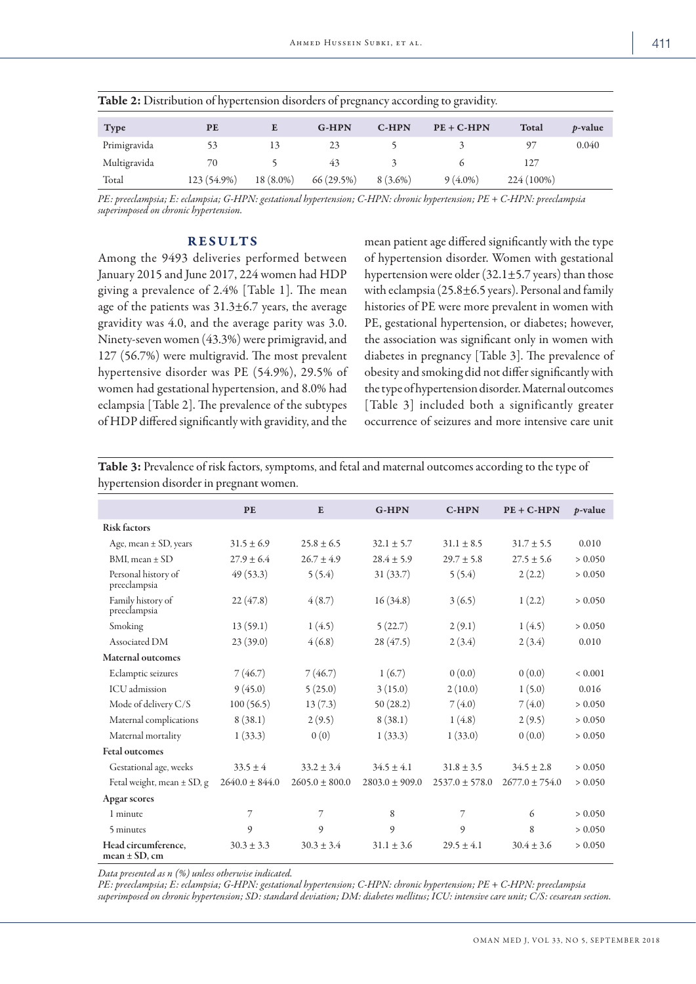| <b>Table 2:</b> Distribution of hypertension disorders of pregnancy according to gravidity. |             |           |           |            |              |            |                 |
|---------------------------------------------------------------------------------------------|-------------|-----------|-----------|------------|--------------|------------|-----------------|
| <b>Type</b>                                                                                 | <b>PE</b>   |           | $G-HPN$   | $C-HPN$    | $PE + C-HPN$ | Total      | <i>p</i> -value |
| Primigravida                                                                                |             |           | 23        |            |              |            | 0.040           |
| Multigravida                                                                                | 70          |           | 43        |            |              | 127        |                 |
| Total                                                                                       | 123 (54.9%) | 18 (8.0%) | 66(29.5%) | $8(3.6\%)$ | $9(4.0\%)$   | 224 (100%) |                 |

*PE: preeclampsia; E: eclampsia; G-HPN: gestational hypertension; C-HPN: chronic hypertension; PE + C-HPN: preeclampsia superimposed on chronic hypertension.*

## RESULTS

Among the 9493 deliveries performed between January 2015 and June 2017, 224 women had HDP giving a prevalence of 2.4% [Table 1]. The mean age of the patients was  $31.3\pm6.7$  years, the average gravidity was 4.0, and the average parity was 3.0. Ninety-seven women (43.3%) were primigravid, and 127 (56.7%) were multigravid. The most prevalent hypertensive disorder was PE (54.9%), 29.5% of women had gestational hypertension, and 8.0% had eclampsia [Table 2]. The prevalence of the subtypes of HDP differed significantly with gravidity, and the mean patient age differed significantly with the type of hypertension disorder. Women with gestational hypertension were older  $(32.1 \pm 5.7 \,\text{years})$  than those with eclampsia (25.8±6.5 years). Personal and family histories of PE were more prevalent in women with PE, gestational hypertension, or diabetes; however, the association was significant only in women with diabetes in pregnancy [Table 3]. The prevalence of obesity and smoking did not differ significantly with the type of hypertension disorder. Maternal outcomes [Table 3] included both a significantly greater occurrence of seizures and more intensive care unit

Table 3: Prevalence of risk factors, symptoms, and fetal and maternal outcomes according to the type of hypertension disorder in pregnant women.

|                                           | <b>PE</b>          | E                | <b>G-HPN</b>     | <b>C-HPN</b>     | $PE + C-HPN$       | $p$ -value  |
|-------------------------------------------|--------------------|------------------|------------------|------------------|--------------------|-------------|
| <b>Risk factors</b>                       |                    |                  |                  |                  |                    |             |
| Age, mean ± SD, years                     | $31.5 \pm 6.9$     | $25.8 + 6.5$     | $32.1 + 5.7$     | $31.1 + 8.5$     | $31.7 \pm 5.5$     | 0.010       |
| BMI, mean $\pm$ SD                        | $27.9 \pm 6.4$     | $26.7 \pm 4.9$   | $28.4 \pm 5.9$   | $29.7 \pm 5.8$   | $27.5 \pm 5.6$     | > 0.050     |
| Personal history of<br>preeclampsia       | 49(53.3)           | 5(5.4)           | 31(33.7)         | 5(5.4)           | 2(2.2)             | > 0.050     |
| Family history of<br>preeclampsia         | 22(47.8)           | 4(8.7)           | 16(34.8)         | 3(6.5)           | 1(2.2)             | > 0.050     |
| Smoking                                   | 13(59.1)           | 1(4.5)           | 5(22.7)          | 2(9.1)           | 1(4.5)             | > 0.050     |
| Associated DM                             | 23(39.0)           | 4(6.8)           | 28(47.5)         | 2(3.4)           | 2(3.4)             | 0.010       |
| <b>Maternal outcomes</b>                  |                    |                  |                  |                  |                    |             |
| Eclamptic seizures                        | 7(46.7)            | 7(46.7)          | 1(6.7)           | 0(0.0)           | 0(0.0)             | ${}< 0.001$ |
| <b>ICU</b> admission                      | 9(45.0)            | 5(25.0)          | 3(15.0)          | 2(10.0)          | 1(5.0)             | 0.016       |
| Mode of delivery C/S                      | 100(56.5)          | 13(7.3)          | 50(28.2)         | 7(4.0)           | 7(4.0)             | > 0.050     |
| Maternal complications                    | 8(38.1)            | 2(9.5)           | 8(38.1)          | 1(4.8)           | 2(9.5)             | > 0.050     |
| Maternal mortality                        | 1(33.3)            | 0(0)             | 1(33.3)          | 1(33.0)          | 0(0.0)             | > 0.050     |
| <b>Fetal outcomes</b>                     |                    |                  |                  |                  |                    |             |
| Gestational age, weeks                    | $33.5 \pm 4$       | $33.2 + 3.4$     | $34.5 \pm 4.1$   | $31.8 \pm 3.5$   | $34.5 + 2.8$       | > 0.050     |
| Fetal weight, mean $\pm$ SD, g            | $2640.0 \pm 844.0$ | $2605.0 + 800.0$ | $2803.0 + 909.0$ | $2537.0 + 578.0$ | $2677.0 \pm 754.0$ | > 0.050     |
| Apgar scores                              |                    |                  |                  |                  |                    |             |
| 1 minute                                  | $\overline{7}$     | $\overline{7}$   | 8                | $\overline{7}$   | 6                  | > 0.050     |
| 5 minutes                                 | 9                  | 9                | 9                | 9                | 8                  | > 0.050     |
| Head circumference,<br>$mean \pm SD$ , cm | $30.3 \pm 3.3$     | $30.3 + 3.4$     | $31.1 + 3.6$     | $29.5 \pm 4.1$   | $30.4 \pm 3.6$     | > 0.050     |

*Data presented as n (%) unless otherwise indicated.*

*PE: preeclampsia; E: eclampsia; G-HPN: gestational hypertension; C-HPN: chronic hypertension; PE + C-HPN: preeclampsia superimposed on chronic hypertension; SD: standard deviation; DM: diabetes mellitus; ICU: intensive care unit; C/S: cesarean section.*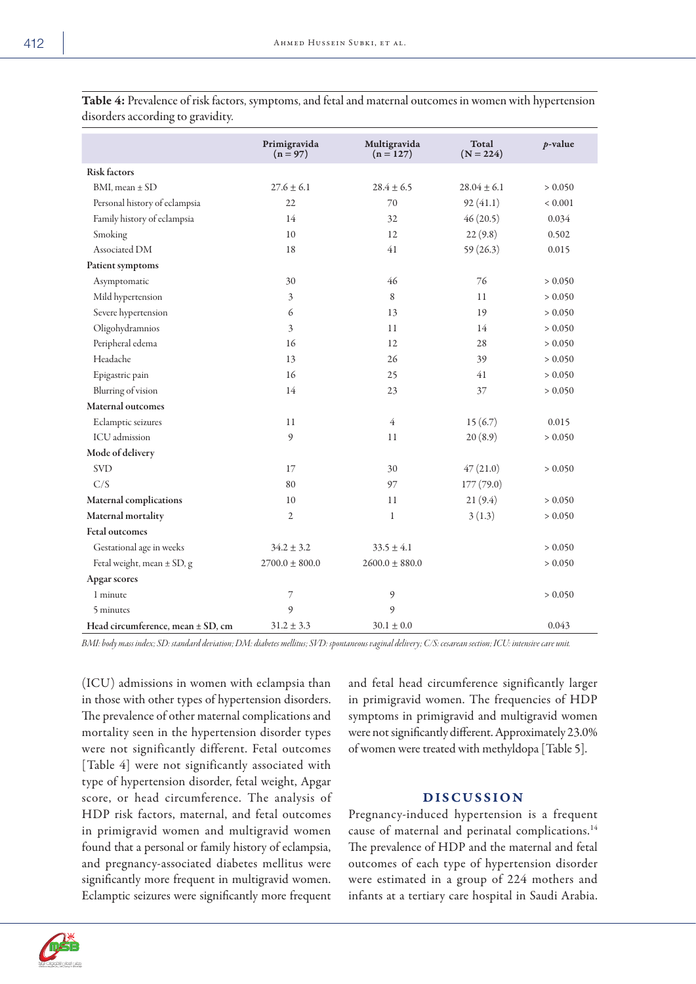|                                | Primigravida<br>$(n = 97)$ | Multigravida<br>$(n = 127)$ | Total<br>$(N = 224)$ | $p$ -value  |
|--------------------------------|----------------------------|-----------------------------|----------------------|-------------|
| <b>Risk factors</b>            |                            |                             |                      |             |
| $BMI$ , mean $\pm$ SD          | $27.6 \pm 6.1$             | $28.4 \pm 6.5$              | $28.04 \pm 6.1$      | > 0.050     |
| Personal history of eclampsia  | 22                         | 70                          | 92(41.1)             | ${}< 0.001$ |
| Family history of eclampsia    | 14                         | 32                          | 46(20.5)             | 0.034       |
| Smoking                        | 10                         | 12                          | 22(9.8)              | 0.502       |
| Associated DM                  | 18                         | 41                          | 59(26.3)             | 0.015       |
| Patient symptoms               |                            |                             |                      |             |
| Asymptomatic                   | 30                         | 46                          | 76                   | > 0.050     |
| Mild hypertension              | $\overline{3}$             | 8                           | 11                   | > 0.050     |
| Severe hypertension            | 6                          | 13                          | 19                   | > 0.050     |
| Oligohydramnios                | 3                          | 11                          | 14                   | > 0.050     |
| Peripheral edema               | 16                         | 12                          | 28                   | > 0.050     |
| Headache                       | 13                         | 26                          | 39                   | > 0.050     |
| Epigastric pain                | 16                         | 25                          | 41                   | > 0.050     |
| Blurring of vision             | 14                         | 23                          | 37                   | > 0.050     |
| Maternal outcomes              |                            |                             |                      |             |
| Eclamptic seizures             | 11                         | $\overline{4}$              | 15(6.7)              | 0.015       |
| ICU admission                  | 9                          | 11                          | 20(8.9)              | > 0.050     |
| Mode of delivery               |                            |                             |                      |             |
| SVD                            | 17                         | 30                          | 47(21.0)             | > 0.050     |
| C/S                            | 80                         | 97                          | 177(79.0)            |             |
| <b>Maternal complications</b>  | 10                         | 11                          | 21(9.4)              | > 0.050     |
| Maternal mortality             | $\overline{2}$             | $\mathbf{1}$                | 3(1.3)               | > 0.050     |
| <b>Fetal outcomes</b>          |                            |                             |                      |             |
| Gestational age in weeks       | $34.2 \pm 3.2$             | $33.5 \pm 4.1$              |                      | > 0.050     |
| Fetal weight, mean $\pm$ SD, g | $2700.0 \pm 800.0$         | $2600.0 \pm 880.0$          |                      | > 0.050     |

Table 4: Prevalence of risk factors, symptoms, and fetal and maternal outcomes in women with hypertension

Head circumference, mean  $\pm$  SD, cm  $31.2 \pm 3.3$   $30.1 \pm 0.0$   $0.043$ *BMI: body mass index; SD: standard deviation; DM: diabetes mellitus; SVD: spontaneous vaginal delivery; C/S: cesarean section; ICU: intensive care unit.*

1 minute 2  $\frac{7}{2}$  9  $\frac{9}{2}$  9  $\frac{1}{2}$  9

(ICU) admissions in women with eclampsia than in those with other types of hypertension disorders. The prevalence of other maternal complications and mortality seen in the hypertension disorder types were not significantly different. Fetal outcomes [Table 4] were not significantly associated with type of hypertension disorder, fetal weight, Apgar score, or head circumference. The analysis of HDP risk factors, maternal, and fetal outcomes in primigravid women and multigravid women found that a personal or family history of eclampsia, and pregnancy-associated diabetes mellitus were significantly more frequent in multigravid women. Eclamptic seizures were significantly more frequent

5 minutes 9 9

and fetal head circumference significantly larger in primigravid women. The frequencies of HDP symptoms in primigravid and multigravid women were not significantly different. Approximately 23.0% of women were treated with methyldopa [Table 5].

## DISCUSSION

Pregnancy-induced hypertension is a frequent cause of maternal and perinatal complications.<sup>14</sup> The prevalence of HDP and the maternal and fetal outcomes of each type of hypertension disorder were estimated in a group of 224 mothers and infants at a tertiary care hospital in Saudi Arabia.



Apgar scores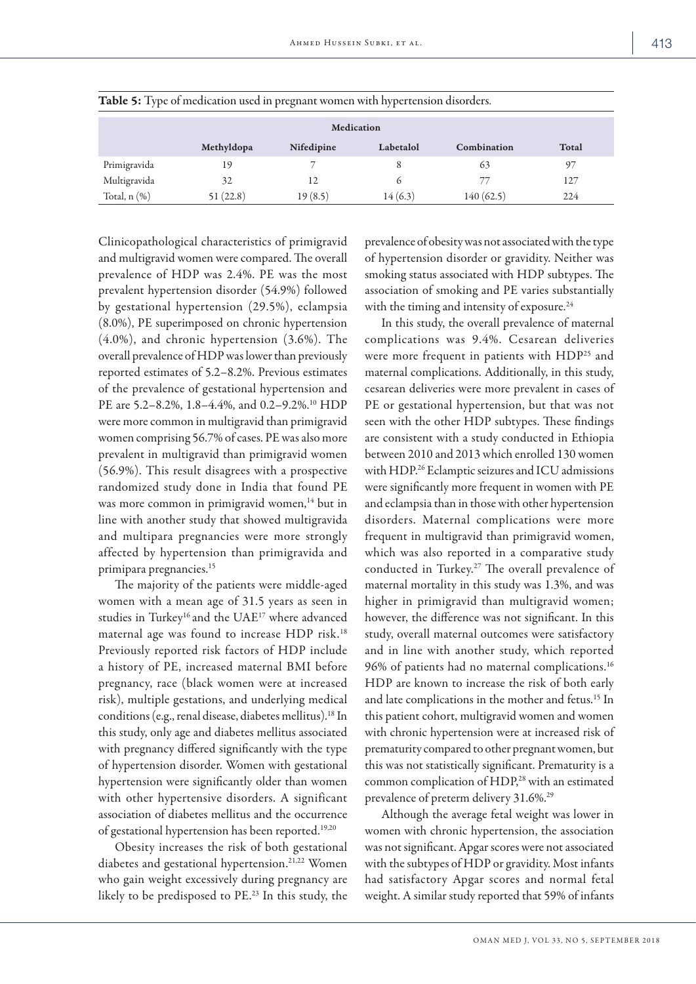| Medication        |            |            |           |             |       |  |
|-------------------|------------|------------|-----------|-------------|-------|--|
|                   | Methyldopa | Nifedipine | Labetalol | Combination | Total |  |
| Primigravida      | 19         |            | 8         | 63          | 97    |  |
| Multigravida      | 32         | 12         | $\sigma$  | 77          | 127   |  |
| Total, $n$ $(\%)$ | 51 (22.8)  | 19(8.5)    | 14(6.3)   | 140 (62.5)  | 224   |  |

Table 5: Type of medication used in pregnant women with hypertension disorders.

Clinicopathological characteristics of primigravid and multigravid women were compared. The overall prevalence of HDP was 2.4%. PE was the most prevalent hypertension disorder (54.9%) followed by gestational hypertension (29.5%), eclampsia (8.0%), PE superimposed on chronic hypertension (4.0%), and chronic hypertension (3.6%). The overall prevalence of HDP was lower than previously reported estimates of 5.2–8.2%. Previous estimates of the prevalence of gestational hypertension and PE are 5.2-8.2%, 1.8-4.4%, and 0.2-9.2%.<sup>10</sup> HDP were more common in multigravid than primigravid women comprising 56.7% of cases. PE was also more prevalent in multigravid than primigravid women (56.9%). This result disagrees with a prospective randomized study done in India that found PE was more common in primigravid women,<sup>14</sup> but in line with another study that showed multigravida and multipara pregnancies were more strongly affected by hypertension than primigravida and primipara pregnancies.15

The majority of the patients were middle-aged women with a mean age of 31.5 years as seen in studies in Turkey<sup>16</sup> and the UAE<sup>17</sup> where advanced maternal age was found to increase HDP risk.18 Previously reported risk factors of HDP include a history of PE, increased maternal BMI before pregnancy, race (black women were at increased risk), multiple gestations, and underlying medical conditions (e.g., renal disease, diabetes mellitus).18 In this study, only age and diabetes mellitus associated with pregnancy differed significantly with the type of hypertension disorder. Women with gestational hypertension were significantly older than women with other hypertensive disorders. A significant association of diabetes mellitus and the occurrence of gestational hypertension has been reported.<sup>19,20</sup>

Obesity increases the risk of both gestational diabetes and gestational hypertension.<sup>21,22</sup> Women who gain weight excessively during pregnancy are likely to be predisposed to PE.23 In this study, the

prevalence of obesity was not associated with the type of hypertension disorder or gravidity. Neither was smoking status associated with HDP subtypes. The association of smoking and PE varies substantially with the timing and intensity of exposure.<sup>24</sup>

In this study, the overall prevalence of maternal complications was 9.4%. Cesarean deliveries were more frequent in patients with HDP<sup>25</sup> and maternal complications. Additionally, in this study, cesarean deliveries were more prevalent in cases of PE or gestational hypertension, but that was not seen with the other HDP subtypes. These findings are consistent with a study conducted in Ethiopia between 2010 and 2013 which enrolled 130 women with HDP.26 Eclamptic seizures and ICU admissions were significantly more frequent in women with PE and eclampsia than in those with other hypertension disorders. Maternal complications were more frequent in multigravid than primigravid women, which was also reported in a comparative study conducted in Turkey.27 The overall prevalence of maternal mortality in this study was 1.3%, and was higher in primigravid than multigravid women; however, the difference was not significant. In this study, overall maternal outcomes were satisfactory and in line with another study, which reported 96% of patients had no maternal complications.16 HDP are known to increase the risk of both early and late complications in the mother and fetus.<sup>15</sup> In this patient cohort, multigravid women and women with chronic hypertension were at increased risk of prematurity compared to other pregnant women, but this was not statistically significant. Prematurity is a common complication of HDP,<sup>28</sup> with an estimated prevalence of preterm delivery 31.6%.<sup>29</sup>

Although the average fetal weight was lower in women with chronic hypertension, the association was not significant. Apgar scores were not associated with the subtypes of HDP or gravidity. Most infants had satisfactory Apgar scores and normal fetal weight. A similar study reported that 59% of infants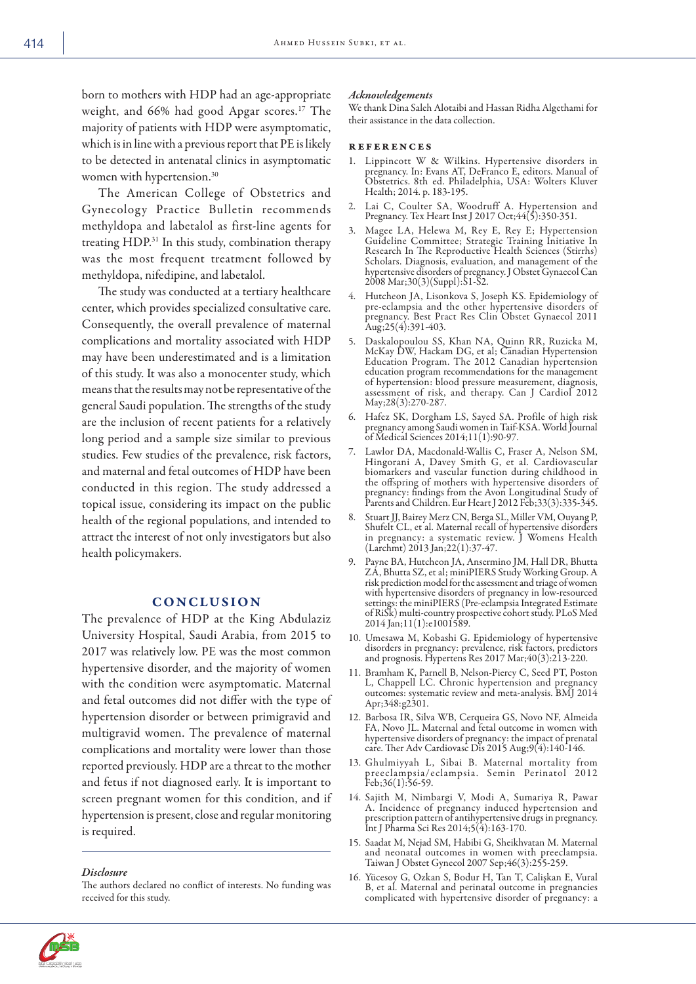born to mothers with HDP had an age-appropriate weight, and 66% had good Apgar scores.<sup>17</sup> The majority of patients with HDP were asymptomatic, which is in line with a previous report that PE is likely to be detected in antenatal clinics in asymptomatic women with hypertension.<sup>30</sup>

The American College of Obstetrics and Gynecology Practice Bulletin recommends methyldopa and labetalol as first-line agents for treating HDP.31 In this study, combination therapy was the most frequent treatment followed by methyldopa, nifedipine, and labetalol.

The study was conducted at a tertiary healthcare center, which provides specialized consultative care. Consequently, the overall prevalence of maternal complications and mortality associated with HDP may have been underestimated and is a limitation of this study. It was also a monocenter study, which means that the results may not be representative of the general Saudi population. The strengths of the study are the inclusion of recent patients for a relatively long period and a sample size similar to previous studies. Few studies of the prevalence, risk factors, and maternal and fetal outcomes of HDP have been conducted in this region. The study addressed a topical issue, considering its impact on the public health of the regional populations, and intended to attract the interest of not only investigators but also health policymakers.

### **CONCLUSION**

The prevalence of HDP at the King Abdulaziz University Hospital, Saudi Arabia, from 2015 to 2017 was relatively low. PE was the most common hypertensive disorder, and the majority of women with the condition were asymptomatic. Maternal and fetal outcomes did not differ with the type of hypertension disorder or between primigravid and multigravid women. The prevalence of maternal complications and mortality were lower than those reported previously. HDP are a threat to the mother and fetus if not diagnosed early. It is important to screen pregnant women for this condition, and if hypertension is present, close and regular monitoring is required.

#### *Disclosure*

The authors declared no conflict of interests. No funding was received for this study.

#### *Acknowledgements*

We thank Dina Saleh Alotaibi and Hassan Ridha Algethami for their assistance in the data collection.

#### references

- 1. Lippincott W & Wilkins. Hypertensive disorders in pregnancy. In: Evans AT, DeFranco E, editors. Manual of Obstetrics. 8th ed. Philadelphia, USA: Wolters Kluver Health; 2014. p. 183-195.
- 2. Lai C, Coulter SA, Woodruff A. Hypertension and Pregnancy. Tex Heart Inst J 2017 Oct; 44(5): 350-351.
- 3. Magee LA, Helewa M, Rey E, Rey E; Hypertension Guideline Committee; Strategic Training Initiative In Research In The Reproductive Health Sciences (Stirrhs) Scholars. Diagnosis, evaluation, and management of the hypertensive disorders of pregnancy. J Obstet Gynaecol Can 2008 Mar;30(3)(Suppl):S1-S2.
- 4. Hutcheon JA, Lisonkova S, Joseph KS. Epidemiology of pre-eclampsia and the other hypertensive disorders of pregnancy. Best Pract Res Clin Obstet Gynaecol 2011  $\text{Aug};25(4):391-403.$
- 5. Daskalopoulou SS, Khan NA, Quinn RR, Ruzicka M, McKay DW, Hackam DG, et al; Canadian Hypertension Education Program. The 2012 Canadian hypertension education program recommendations for the management of hypertension: blood pressure measurement, diagnosis, assessment of risk, and therapy. Can J Cardiol 2012 May;28(3):270-287.
- 6. Hafez SK, Dorgham LS, Sayed SA. Profile of high risk pregnancy among Saudi women in Taif-KSA. World Journal of Medical Sciences 2014;11(1):90-97.
- 7. Lawlor DA, Macdonald-Wallis C, Fraser A, Nelson SM, Hingorani A, Davey Smith G, et al. Cardiovascular biomarkers and vascular function during childhood in the offspring of mothers with hypertensive disorders of pregnancy: findings from the Avon Longitudinal Study of Parents and Children. Eur Heart J 2012 Feb;33(3):335-345.
- Stuart JJ, Bairey Merz CN, Berga SL, Miller VM, Ouyang P, Shufelt CL, et al. Maternal recall of hypertensive disorders in pregnancy: a systematic review. J Womens Health (Larchmt) 2013 Jan;22(1):37-47.
- Payne BA, Hutcheon JA, Ansermino JM, Hall DR, Bhutta ZA, Bhutta SZ, et al; miniPIERS Study Working Group. A risk prediction model for the assessment and triage of women with hypertensive disorders of pregnancy in low-resourced settings: the miniPIERS (Pre-eclampsia Integrated Estimate of RiSk) multi-country prospective cohort study. PLoS Med 2014 Jan;11(1):e1001589.
- 10. Umesawa M, Kobashi G. Epidemiology of hypertensive disorders in pregnancy: prevalence, risk factors, predictors and prognosis. Hypertens Res 2017 Mar;40(3):213-220.
- 11. Bramham K, Parnell B, Nelson-Piercy C, Seed PT, Poston L, Chappell LC. Chronic hypertension and pregnancy outcomes: systematic review and meta-analysis. BMJ 2014 Apr;348:g2301.
- 12. Barbosa IR, Silva WB, Cerqueira GS, Novo NF, Almeida FA, Novo JL. Maternal and fetal outcome in women with hypertensive disorders of pregnancy: the impact of prenatal care. Ther Adv Cardiovasc Dis 2015 Aug;9(4):140-146.
- 13. Ghulmiyyah L, Sibai B. Maternal mortality from preeclampsia/eclampsia. Semin Perinatol 2012 Feb;36(1):56-59.
- 14. Sajith M, Nimbargi V, Modi A, Sumariya R, Pawar A. Incidence of pregnancy induced hypertension and prescription pattern of antihypertensive drugs in pregnancy. Int J Pharma Sci Res 2014;5(4):163-170.
- 15. Saadat M, Nejad SM, Habibi G, Sheikhvatan M. Maternal and neonatal outcomes in women with preeclampsia. Taiwan J Obstet Gynecol 2007 Sep;46(3):255-259.
- 16. Yücesoy G, Ozkan S, Bodur H, Tan T, Calişkan E, Vural B, et al. Maternal and perinatal outcome in pregnancies complicated with hypertensive disorder of pregnancy: a